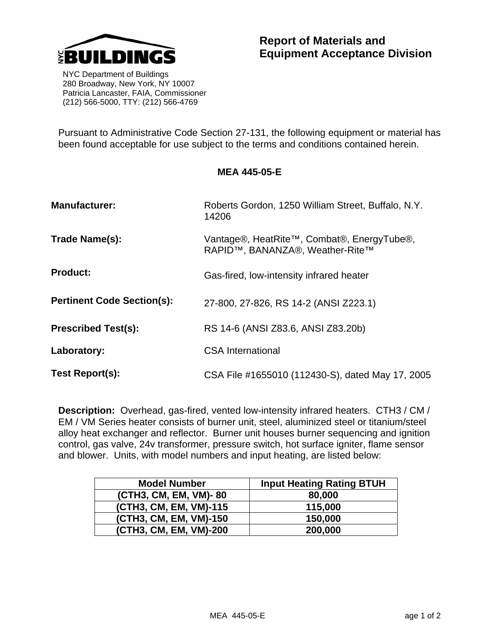

 NYC Department of Buildings 280 Broadway, New York, NY 10007 Patricia Lancaster, FAIA, Commissioner (212) 566-5000, TTY: (212) 566-4769

Pursuant to Administrative Code Section 27-131, the following equipment or material has been found acceptable for use subject to the terms and conditions contained herein.

## **MEA 445-05-E**

| <b>Manufacturer:</b>              | Roberts Gordon, 1250 William Street, Buffalo, N.Y.<br>14206                   |
|-----------------------------------|-------------------------------------------------------------------------------|
| Trade Name(s):                    | Vantage®, HeatRite™, Combat®, EnergyTube®,<br>RAPID™, BANANZA®, Weather-Rite™ |
| <b>Product:</b>                   | Gas-fired, low-intensity infrared heater                                      |
| <b>Pertinent Code Section(s):</b> | 27-800, 27-826, RS 14-2 (ANSI Z223.1)                                         |
| <b>Prescribed Test(s):</b>        | RS 14-6 (ANSI Z83.6, ANSI Z83.20b)                                            |
| Laboratory:                       | <b>CSA International</b>                                                      |
| Test Report(s):                   | CSA File #1655010 (112430-S), dated May 17, 2005                              |

**Description:** Overhead, gas-fired, vented low-intensity infrared heaters. CTH3 / CM / EM / VM Series heater consists of burner unit, steel, aluminized steel or titanium/steel alloy heat exchanger and reflector. Burner unit houses burner sequencing and ignition control, gas valve, 24v transformer, pressure switch, hot surface igniter, flame sensor and blower. Units, with model numbers and input heating, are listed below:

| <b>Model Number</b>    | <b>Input Heating Rating BTUH</b> |
|------------------------|----------------------------------|
| (CTH3, CM, EM, VM)-80  | 80,000                           |
| (CTH3, CM, EM, VM)-115 | 115,000                          |
| (CTH3, CM, EM, VM)-150 | 150,000                          |
| (CTH3, CM, EM, VM)-200 | 200,000                          |